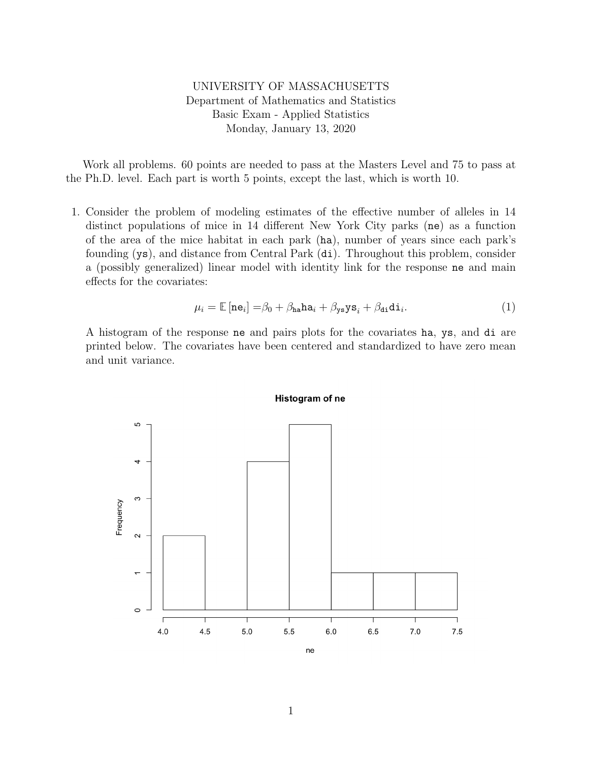## UNIVERSITY OF MASSACHUSETTS Department of Mathematics and Statistics Basic Exam - Applied Statistics Monday, January 13, 2020

Work all problems. 60 points are needed to pass at the Masters Level and 75 to pass at the Ph.D. level. Each part is worth 5 points, except the last, which is worth 10.

1. Consider the problem of modeling estimates of the effective number of alleles in 14 distinct populations of mice in 14 different New York City parks (ne) as a function of the area of the mice habitat in each park (ha), number of years since each park's founding (ys), and distance from Central Park (di). Throughout this problem, consider a (possibly generalized) linear model with identity link for the response ne and main effects for the covariates:

$$
\mu_i = \mathbb{E}[\text{ne}_i] = \beta_0 + \beta_{\text{ha}} \text{ha}_i + \beta_{\text{ys}} \text{ys}_i + \beta_{\text{di}} \text{di}_i. \tag{1}
$$

A histogram of the response ne and pairs plots for the covariates ha, ys, and di are printed below. The covariates have been centered and standardized to have zero mean and unit variance.



## Histogram of ne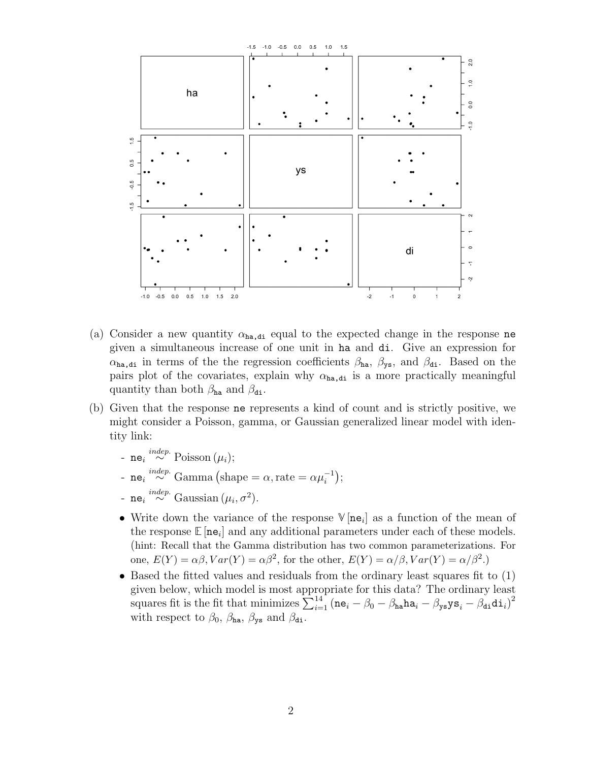

- (a) Consider a new quantity  $\alpha_{ha,di}$  equal to the expected change in the response ne given a simultaneous increase of one unit in ha and di. Give an expression for  $\alpha_{ha,di}$  in terms of the the regression coefficients  $\beta_{ha}$ ,  $\beta_{ys}$ , and  $\beta_{di}$ . Based on the pairs plot of the covariates, explain why  $\alpha_{ha,di}$  is a more practically meaningful quantity than both  $\beta_{ha}$  and  $\beta_{di}$ .
- (b) Given that the response ne represents a kind of count and is strictly positive, we might consider a Poisson, gamma, or Gaussian generalized linear model with identity link:
	- ne<sub>i</sub>  $\stackrel{indep.}{\sim}$  Poisson (μ<sub>i</sub>);
	- ne<sub>i</sub><sup>indep.</sup> Gamma (shape =  $\alpha$ , rate =  $\alpha \mu_i^{-1}$ );
	- ne<sub>i</sub><sup>indep.</sup> Gaussian ( $\mu_i$ ,  $\sigma^2$ ).
	- Write down the variance of the response  $\mathbb{V}[\mathbf{ne}_i]$  as a function of the mean of the response  $\mathbb{E}[\textbf{ne}_i]$  and any additional parameters under each of these models. (hint: Recall that the Gamma distribution has two common parameterizations. For one,  $E(Y) = \alpha \beta$ ,  $Var(Y) = \alpha \beta^2$ , for the other,  $E(Y) = \alpha/\beta$ ,  $Var(Y) = \alpha/\beta^2$ .
	- Based the fitted values and residuals from the ordinary least squares fit to (1) given below, which model is most appropriate for this data? The ordinary least squares fit is the fit that minimizes  $\sum_{i=1}^{14} (\mathbf{n} \mathbf{e}_i - \beta_0 - \beta_{\mathtt{ha}} \mathtt{ha}_i - \beta_{\mathtt{ys}} \mathtt{ys}_i - \beta_{\mathtt{di}} \mathtt{di}_i)^2$ with respect to  $\beta_0$ ,  $\beta_{\text{ha}}$ ,  $\beta_{\text{ys}}$  and  $\beta_{\text{di}}$ .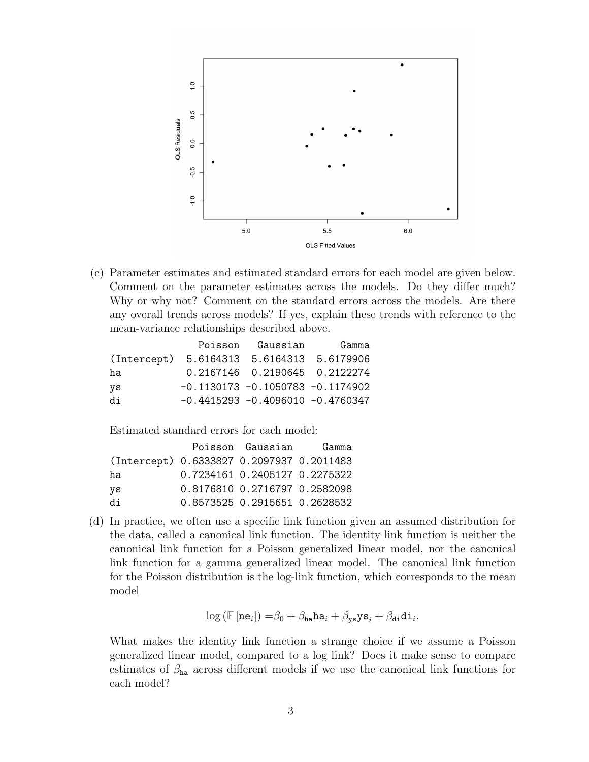

(c) Parameter estimates and estimated standard errors for each model are given below. Comment on the parameter estimates across the models. Do they differ much? Why or why not? Comment on the standard errors across the models. Are there any overall trends across models? If yes, explain these trends with reference to the mean-variance relationships described above.

|                                           | Poisson Gaussian                     | Gamma |
|-------------------------------------------|--------------------------------------|-------|
| (Intercept) 5.6164313 5.6164313 5.6179906 |                                      |       |
| ha                                        | 0.2167146  0.2190645  0.2122274      |       |
| ys                                        | $-0.1130173 - 0.1050783 - 0.1174902$ |       |
| di                                        | $-0.4415293 - 0.4096010 - 0.4760347$ |       |

Estimated standard errors for each model:

|                                           | Poisson Gaussian Gamma        |  |
|-------------------------------------------|-------------------------------|--|
| (Intercept) 0.6333827 0.2097937 0.2011483 |                               |  |
| ha                                        | 0.7234161 0.2405127 0.2275322 |  |
| ys                                        | 0.8176810 0.2716797 0.2582098 |  |
| di                                        | 0.8573525 0.2915651 0.2628532 |  |

(d) In practice, we often use a specific link function given an assumed distribution for the data, called a canonical link function. The identity link function is neither the canonical link function for a Poisson generalized linear model, nor the canonical link function for a gamma generalized linear model. The canonical link function for the Poisson distribution is the log-link function, which corresponds to the mean model

$$
\log \left( \mathbb{E}\left[ \mathbf{ne}_i \right] \right) = \beta_0 + \beta_{\mathtt{ha}} \mathtt{ha}_i + \beta_{\mathtt{ys}} \mathtt{ys}_i + \beta_{\mathtt{di}} \mathtt{di}_i.
$$

What makes the identity link function a strange choice if we assume a Poisson generalized linear model, compared to a log link? Does it make sense to compare estimates of  $\beta_{\text{ha}}$  across different models if we use the canonical link functions for each model?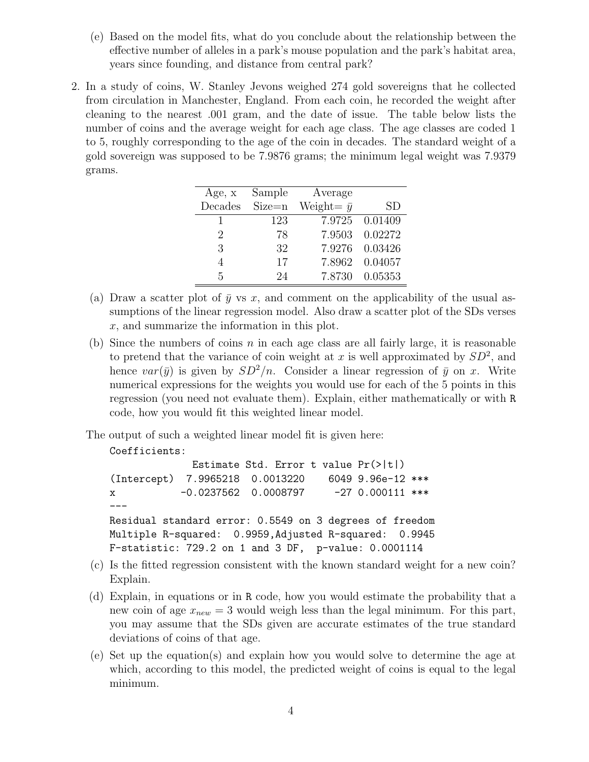- (e) Based on the model fits, what do you conclude about the relationship between the effective number of alleles in a park's mouse population and the park's habitat area, years since founding, and distance from central park?
- 2. In a study of coins, W. Stanley Jevons weighed 274 gold sovereigns that he collected from circulation in Manchester, England. From each coin, he recorded the weight after cleaning to the nearest .001 gram, and the date of issue. The table below lists the number of coins and the average weight for each age class. The age classes are coded 1 to 5, roughly corresponding to the age of the coin in decades. The standard weight of a gold sovereign was supposed to be 7.9876 grams; the minimum legal weight was 7.9379 grams.

| Age, x  | Sample     | Average            |                |
|---------|------------|--------------------|----------------|
| Decades | $Size = n$ | Weight = $\bar{y}$ | <b>SD</b>      |
|         | 123        |                    | 7.9725 0.01409 |
| 2       | 78         | 7.9503             | 0.02272        |
| 3       | 32         | 7.9276             | 0.03426        |
|         | 17         | 7.8962             | 0.04057        |
| 5       | 24         | 7.8730             | 0.05353        |

- (a) Draw a scatter plot of  $\bar{y}$  vs x, and comment on the applicability of the usual assumptions of the linear regression model. Also draw a scatter plot of the SDs verses x, and summarize the information in this plot.
- (b) Since the numbers of coins  $n$  in each age class are all fairly large, it is reasonable to pretend that the variance of coin weight at x is well approximated by  $SD^2$ , and hence  $var(\bar{y})$  is given by  $SD^2/n$ . Consider a linear regression of  $\bar{y}$  on x. Write numerical expressions for the weights you would use for each of the 5 points in this regression (you need not evaluate them). Explain, either mathematically or with R code, how you would fit this weighted linear model.

The output of such a weighted linear model fit is given here:

```
Coefficients:
```

```
Estimate Std. Error t value Pr(>|t|)
(Intercept) 7.9965218 0.0013220 6049 9.96e-12 ***
x -0.0237562 0.0008797 -27 0.000111 ***
---
Residual standard error: 0.5549 on 3 degrees of freedom
Multiple R-squared: 0.9959,Adjusted R-squared: 0.9945
F-statistic: 729.2 on 1 and 3 DF, p-value: 0.0001114
```
- (c) Is the fitted regression consistent with the known standard weight for a new coin? Explain.
- (d) Explain, in equations or in R code, how you would estimate the probability that a new coin of age  $x_{new} = 3$  would weigh less than the legal minimum. For this part, you may assume that the SDs given are accurate estimates of the true standard deviations of coins of that age.
- (e) Set up the equation(s) and explain how you would solve to determine the age at which, according to this model, the predicted weight of coins is equal to the legal minimum.